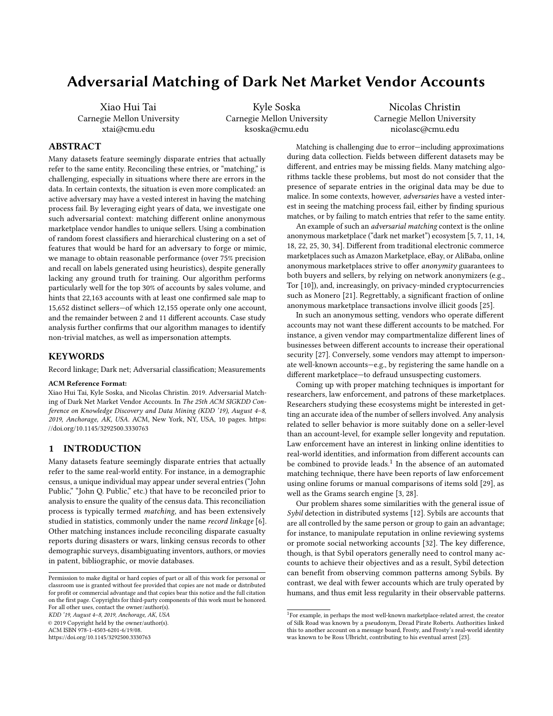# Adversarial Matching of Dark Net Market Vendor Accounts

Xiao Hui Tai Carnegie Mellon University xtai@cmu.edu

Kyle Soska Carnegie Mellon University ksoska@cmu.edu

Nicolas Christin Carnegie Mellon University nicolasc@cmu.edu

# ABSTRACT

Many datasets feature seemingly disparate entries that actually refer to the same entity. Reconciling these entries, or "matching," is challenging, especially in situations where there are errors in the data. In certain contexts, the situation is even more complicated: an active adversary may have a vested interest in having the matching process fail. By leveraging eight years of data, we investigate one such adversarial context: matching different online anonymous marketplace vendor handles to unique sellers. Using a combination of random forest classifiers and hierarchical clustering on a set of features that would be hard for an adversary to forge or mimic, we manage to obtain reasonable performance (over 75% precision and recall on labels generated using heuristics), despite generally lacking any ground truth for training. Our algorithm performs particularly well for the top 30% of accounts by sales volume, and hints that 22,163 accounts with at least one confirmed sale map to 15,652 distinct sellers—of which 12,155 operate only one account, and the remainder between 2 and 11 different accounts. Case study analysis further confirms that our algorithm manages to identify non-trivial matches, as well as impersonation attempts.

## **KEYWORDS**

Record linkage; Dark net; Adversarial classification; Measurements

#### ACM Reference Format:

Xiao Hui Tai, Kyle Soska, and Nicolas Christin. 2019. Adversarial Matching of Dark Net Market Vendor Accounts. In The 25th ACM SIGKDD Conference on Knowledge Discovery and Data Mining (KDD '19), August 4–8, 2019, Anchorage, AK, USA. ACM, New York, NY, USA, [10](#page-9-0) pages. [https:](https://doi.org/10.1145/3292500.3330763) [//doi.org/10.1145/3292500.3330763](https://doi.org/10.1145/3292500.3330763)

## <span id="page-0-1"></span>1 INTRODUCTION

Many datasets feature seemingly disparate entries that actually refer to the same real-world entity. For instance, in a demographic census, a unique individual may appear under several entries ("John Public," "John Q. Public," etc.) that have to be reconciled prior to analysis to ensure the quality of the census data. This reconciliation process is typically termed matching, and has been extensively studied in statistics, commonly under the name record linkage [\[6\]](#page-8-0). Other matching instances include reconciling disparate casualty reports during disasters or wars, linking census records to other demographic surveys, disambiguating inventors, authors, or movies in patent, bibliographic, or movie databases.

KDD '19, August 4–8, 2019, Anchorage, AK, USA

© 2019 Copyright held by the owner/author(s).

ACM ISBN 978-1-4503-6201-6/19/08.

<https://doi.org/10.1145/3292500.3330763>

Matching is challenging due to error—including approximations during data collection. Fields between different datasets may be different, and entries may be missing fields. Many matching algorithms tackle these problems, but most do not consider that the presence of separate entries in the original data may be due to malice. In some contexts, however, adversaries have a vested interest in seeing the matching process fail, either by finding spurious matches, or by failing to match entries that refer to the same entity.

An example of such an adversarial matching context is the online anonymous marketplace ("dark net market") ecosystem [\[5,](#page-8-1) [7,](#page-8-2) [11,](#page-8-3) [14,](#page-8-4) [18,](#page-8-5) [22,](#page-8-6) [25,](#page-8-7) [30,](#page-8-8) [34\]](#page-8-9). Different from traditional electronic commerce marketplaces such as Amazon Marketplace, eBay, or AliBaba, online anonymous marketplaces strive to offer anonymity guarantees to both buyers and sellers, by relying on network anonymizers (e.g., Tor [\[10\]](#page-8-10)), and, increasingly, on privacy-minded cryptocurrencies such as Monero [\[21\]](#page-8-11). Regrettably, a significant fraction of online anonymous marketplace transactions involve illicit goods [\[25\]](#page-8-7).

In such an anonymous setting, vendors who operate different accounts may not want these different accounts to be matched. For instance, a given vendor may compartmentalize different lines of businesses between different accounts to increase their operational security [\[27\]](#page-8-12). Conversely, some vendors may attempt to impersonate well-known accounts—e.g., by registering the same handle on a different marketplace—to defraud unsuspecting customers.

Coming up with proper matching techniques is important for researchers, law enforcement, and patrons of these marketplaces. Researchers studying these ecosystems might be interested in getting an accurate idea of the number of sellers involved. Any analysis related to seller behavior is more suitably done on a seller-level than an account-level, for example seller longevity and reputation. Law enforcement have an interest in linking online identities to real-world identities, and information from different accounts can be combined to provide leads.<sup>[1](#page-0-0)</sup> In the absence of an automated matching technique, there have been reports of law enforcement using online forums or manual comparisons of items sold [\[29\]](#page-8-13), as well as the Grams search engine [\[3,](#page-8-14) [28\]](#page-8-15).

Our problem shares some similarities with the general issue of Sybil detection in distributed systems [\[12\]](#page-8-16). Sybils are accounts that are all controlled by the same person or group to gain an advantage; for instance, to manipulate reputation in online reviewing systems or promote social networking accounts [\[32\]](#page-8-17). The key difference, though, is that Sybil operators generally need to control many accounts to achieve their objectives and as a result, Sybil detection can benefit from observing common patterns among Sybils. By contrast, we deal with fewer accounts which are truly operated by humans, and thus emit less regularity in their observable patterns.

Permission to make digital or hard copies of part or all of this work for personal or classroom use is granted without fee provided that copies are not made or distributed for profit or commercial advantage and that copies bear this notice and the full citation on the first page. Copyrights for third-party components of this work must be honored. For all other uses, contact the owner/author(s).

<span id="page-0-0"></span><sup>&</sup>lt;sup>1</sup>For example, in perhaps the most well-known marketplace-related arrest, the creator of Silk Road was known by a pseudonym, Dread Pirate Roberts. Authorities linked this to another account on a message board, Frosty, and Frosty's real-world identity was known to be Ross Ulbricht, contributing to his eventual arrest [\[23\]](#page-8-18).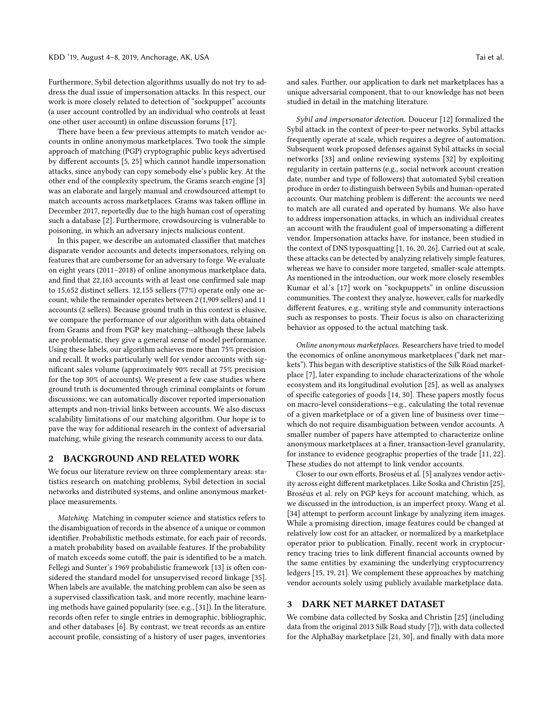Furthermore, Sybil detection algorithms usually do not try to address the dual issue of impersonation attacks. In this respect, our work is more closely related to detection of "sockpuppet" accounts (a user account controlled by an individual who controls at least one other user account) in online discussion forums [\[17\]](#page-8-19).

There have been a few previous attempts to match vendor accounts in online anonymous marketplaces. Two took the simple approach of matching (PGP) cryptographic public keys advertised by different accounts [\[5,](#page-8-1) [25\]](#page-8-7) which cannot handle impersonation attacks, since anybody can copy somebody else's public key. At the other end of the complexity spectrum, the Grams search engine [\[3\]](#page-8-14) was an elaborate and largely manual and crowdsourced attempt to match accounts across marketplaces. Grams was taken offline in December 2017, reportedly due to the high human cost of operating such a database [\[2\]](#page-8-20). Furthermore, crowdsourcing is vulnerable to poisoning, in which an adversary injects malicious content.

In this paper, we describe an automated classifier that matches disparate vendor accounts and detects impersonators, relying on features that are cumbersome for an adversary to forge. We evaluate on eight years (2011–2018) of online anonymous marketplace data, and find that 22,163 accounts with at least one confirmed sale map to 15,652 distinct sellers. 12,155 sellers (77%) operate only one account, while the remainder operates between 2 (1,909 sellers) and 11 accounts (2 sellers). Because ground truth in this context is elusive, we compare the performance of our algorithm with data obtained from Grams and from PGP key matching—although these labels are problematic, they give a general sense of model performance. Using these labels, our algorithm achieves more than 75% precision and recall. It works particularly well for vendor accounts with significant sales volume (approximately 90% recall at 75% precision for the top 30% of accounts). We present a few case studies where ground truth is documented through criminal complaints or forum discussions; we can automatically discover reported impersonation attempts and non-trivial links between accounts. We also discuss scalability limitations of our matching algorithm. Our hope is to pave the way for additional research in the context of adversarial matching, while giving the research community access to our data.

## 2 BACKGROUND AND RELATED WORK

We focus our literature review on three complementary areas: statistics research on matching problems, Sybil detection in social networks and distributed systems, and online anonymous marketplace measurements.

Matching. Matching in computer science and statistics refers to the disambiguation of records in the absence of a unique or common identifier. Probabilistic methods estimate, for each pair of records, a match probability based on available features. If the probability of match exceeds some cutoff, the pair is identified to be a match. Fellegi and Sunter's 1969 probabilistic framework [\[13\]](#page-8-21) is often considered the standard model for unsupervised record linkage [\[35\]](#page-8-22). When labels are available, the matching problem can also be seen as a supervised classification task, and more recently, machine learning methods have gained popularity (see, e.g., [\[31\]](#page-8-23)). In the literature, records often refer to single entries in demographic, bibliographic, and other databases [\[6\]](#page-8-0). By contrast, we treat records as an entire account profile, consisting of a history of user pages, inventories

and sales. Further, our application to dark net marketplaces has a unique adversarial component, that to our knowledge has not been studied in detail in the matching literature.

Sybil and impersonator detection. Douceur [\[12\]](#page-8-16) formalized the Sybil attack in the context of peer-to-peer networks. Sybil attacks frequently operate at scale, which requires a degree of automation. Subsequent work proposed defenses against Sybil attacks in social networks [\[33\]](#page-8-24) and online reviewing systems [\[32\]](#page-8-17) by exploiting regularity in certain patterns (e.g., social network account creation date, number and type of followers) that automated Sybil creation produce in order to distinguish between Sybils and human-operated accounts. Our matching problem is different: the accounts we need to match are all curated and operated by humans. We also have to address impersonation attacks, in which an individual creates an account with the fraudulent goal of impersonating a different vendor. Impersonation attacks have, for instance, been studied in the context of DNS typosquatting [\[1,](#page-8-25) [16,](#page-8-26) [20,](#page-8-27) [26\]](#page-8-28). Carried out at scale, these attacks can be detected by analyzing relatively simple features, whereas we have to consider more targeted, smaller-scale attempts. As mentioned in the introduction, our work more closely resembles Kumar et al.'s [\[17\]](#page-8-19) work on "sockpuppets" in online discussion communities. The context they analyze, however, calls for markedly different features, e.g., writing style and community interactions such as responses to posts. Their focus is also on characterizing behavior as opposed to the actual matching task.

Online anonymous marketplaces. Researchers have tried to model the economics of online anonymous marketplaces ("dark net markets"). This began with descriptive statistics of the Silk Road marketplace [\[7\]](#page-8-2), later expanding to include characterizations of the whole ecosystem and its longitudinal evolution [\[25\]](#page-8-7), as well as analyses of specific categories of goods [\[14,](#page-8-4) [30\]](#page-8-8). These papers mostly focus on macro-level considerations—e.g., calculating the total revenue of a given marketplace or of a given line of business over time which do not require disambiguation between vendor accounts. A smaller number of papers have attempted to characterize online anonymous marketplaces at a finer, transaction-level granularity, for instance to evidence geographic properties of the trade [\[11,](#page-8-3) [22\]](#page-8-6). These studies do not attempt to link vendor accounts.

Closer to our own efforts, Broséus et al. [\[5\]](#page-8-1) analyzes vendor activity across eight different marketplaces. Like Soska and Christin [\[25\]](#page-8-7), Broséus et al. rely on PGP keys for account matching, which, as we discussed in the introduction, is an imperfect proxy. Wang et al. [\[34\]](#page-8-9) attempt to perform account linkage by analyzing item images. While a promising direction, image features could be changed at relatively low cost for an attacker, or normalized by a marketplace operator prior to publication. Finally, recent work in cryptocurrency tracing tries to link different financial accounts owned by the same entities by examining the underlying cryptocurrency ledgers [\[15,](#page-8-29) [19,](#page-8-30) [21\]](#page-8-11). We complement these approaches by matching vendor accounts solely using publicly available marketplace data.

# <span id="page-1-0"></span>3 DARK NET MARKET DATASET

We combine data collected by Soska and Christin [\[25\]](#page-8-7) (including data from the original 2013 Silk Road study [\[7\]](#page-8-2)), with data collected for the AlphaBay marketplace [\[21,](#page-8-11) [30\]](#page-8-8), and finally with data more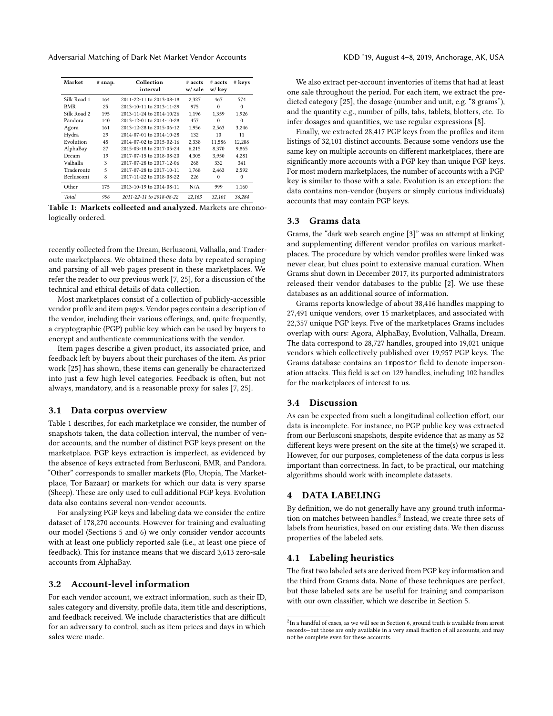Adversarial Matching of Dark Net Market Vendor Accounts KND (KDD '19, August 4-8, 2019, Anchorage, AK, USA

<span id="page-2-0"></span>

| Market      | $#$ snap. | Collection<br>interval   | $#$ accts<br>w/ sale | # accts<br>w/ key | # keys   |
|-------------|-----------|--------------------------|----------------------|-------------------|----------|
| Silk Road 1 | 164       | 2011-22-11 to 2013-08-18 | 2.327                | 467               | 574      |
| BMR         | 25        | 2013-10-11 to 2013-11-29 | 975                  | $\Omega$          | $\Omega$ |
| Silk Road 2 | 195       | 2013-11-24 to 2014-10/26 | 1,196                | 1,359             | 1,926    |
| Pandora     | 140       | 2013-12-01 to 2014-10-28 | 457                  | $\Omega$          | $\Omega$ |
| Agora       | 161       | 2013-12-28 to 2015-06-12 | 1,956                | 2,563             | 3,246    |
| Hydra       | 29        | 2014-07-01 to 2014-10-28 | 132                  | 10                | 11       |
| Evolution   | 45        | 2014-07-02 to 2015-02-16 | 2.338                | 11,586            | 12,288   |
| AlphaBay    | 27        | 2015-03-18 to 2017-05-24 | 6.215                | 8.370             | 9.865    |
| Dream       | 19        | 2017-07-15 to 2018-08-20 | 4.305                | 3.950             | 4.281    |
| Valhalla    | 3         | 2017-07-28 to 2017-12-06 | 268                  | 332               | 341      |
| Traderoute  | 5         | 2017-07-28 to 2017-10-11 | 1,768                | 2,463             | 2,592    |
| Berlusconi  | 8         | 2017-11-22 to 2018-08-22 | 226                  | $\theta$          | $\Omega$ |
| Other       | 175       | 2013-10-19 to 2014-08-11 | N/A                  | 999               | 1,160    |
| Total       | 996       | 2011-22-11 to 2018-08-22 | 22,163               | 32.101            | 36,284   |

Table 1: Markets collected and analyzed. Markets are chronologically ordered.

recently collected from the Dream, Berlusconi, Valhalla, and Traderoute marketplaces. We obtained these data by repeated scraping and parsing of all web pages present in these marketplaces. We refer the reader to our previous work [\[7,](#page-8-2) [25\]](#page-8-7), for a discussion of the technical and ethical details of data collection.

Most marketplaces consist of a collection of publicly-accessible vendor profile and item pages. Vendor pages contain a description of the vendor, including their various offerings, and, quite frequently, a cryptographic (PGP) public key which can be used by buyers to encrypt and authenticate communications with the vendor.

Item pages describe a given product, its associated price, and feedback left by buyers about their purchases of the item. As prior work [\[25\]](#page-8-7) has shown, these items can generally be characterized into just a few high level categories. Feedback is often, but not always, mandatory, and is a reasonable proxy for sales [\[7,](#page-8-2) [25\]](#page-8-7).

## 3.1 Data corpus overview

Table [1](#page-2-0) describes, for each marketplace we consider, the number of snapshots taken, the data collection interval, the number of vendor accounts, and the number of distinct PGP keys present on the marketplace. PGP keys extraction is imperfect, as evidenced by the absence of keys extracted from Berlusconi, BMR, and Pandora. "Other" corresponds to smaller markets (Flo, Utopia, The Marketplace, Tor Bazaar) or markets for which our data is very sparse (Sheep). These are only used to cull additional PGP keys. Evolution data also contains several non-vendor accounts.

For analyzing PGP keys and labeling data we consider the entire dataset of 178,270 accounts. However for training and evaluating our model (Sections [5](#page-3-0) and [6\)](#page-4-0) we only consider vendor accounts with at least one publicly reported sale (i.e., at least one piece of feedback). This for instance means that we discard 3,613 zero-sale accounts from AlphaBay.

## <span id="page-2-3"></span>3.2 Account-level information

For each vendor account, we extract information, such as their ID, sales category and diversity, profile data, item title and descriptions, and feedback received. We include characteristics that are difficult for an adversary to control, such as item prices and days in which sales were made.

We also extract per-account inventories of items that had at least one sale throughout the period. For each item, we extract the predicted category [\[25\]](#page-8-7), the dosage (number and unit, e.g. "8 grams"), and the quantity e.g., number of pills, tabs, tablets, blotters, etc. To infer dosages and quantities, we use regular expressions [\[8\]](#page-8-31).

Finally, we extracted 28,417 PGP keys from the profiles and item listings of 32,101 distinct accounts. Because some vendors use the same key on multiple accounts on different marketplaces, there are significantly more accounts with a PGP key than unique PGP keys. For most modern marketplaces, the number of accounts with a PGP key is similar to those with a sale. Evolution is an exception: the data contains non-vendor (buyers or simply curious individuals) accounts that may contain PGP keys.

#### 3.3 Grams data

Grams, the "dark web search engine [\[3\]](#page-8-14)" was an attempt at linking and supplementing different vendor profiles on various marketplaces. The procedure by which vendor profiles were linked was never clear, but clues point to extensive manual curation. When Grams shut down in December 2017, its purported administrators released their vendor databases to the public [\[2\]](#page-8-20). We use these databases as an additional source of information.

Grams reports knowledge of about 38,416 handles mapping to 27,491 unique vendors, over 15 marketplaces, and associated with 22,357 unique PGP keys. Five of the marketplaces Grams includes overlap with ours: Agora, AlphaBay, Evolution, Valhalla, Dream. The data correspond to 28,727 handles, grouped into 19,021 unique vendors which collectively published over 19,957 PGP keys. The Grams database contains an impostor field to denote impersonation attacks. This field is set on 129 handles, including 102 handles for the marketplaces of interest to us.

## 3.4 Discussion

As can be expected from such a longitudinal collection effort, our data is incomplete. For instance, no PGP public key was extracted from our Berlusconi snapshots, despite evidence that as many as 52 different keys were present on the site at the time(s) we scraped it. However, for our purposes, completeness of the data corpus is less important than correctness. In fact, to be practical, our matching algorithms should work with incomplete datasets.

## <span id="page-2-2"></span>4 DATA LABELING

By definition, we do not generally have any ground truth informa-tion on matches between handles.<sup>[2](#page-2-1)</sup> Instead, we create three sets of labels from heuristics, based on our existing data. We then discuss properties of the labeled sets.

## 4.1 Labeling heuristics

The first two labeled sets are derived from PGP key information and the third from Grams data. None of these techniques are perfect, but these labeled sets are be useful for training and comparison with our own classifier, which we describe in Section [5.](#page-3-0)

<span id="page-2-1"></span> ${}^{2}$ In a handful of cases, as we will see in Section [6,](#page-4-0) ground truth is available from arrest records—but those are only available in a very small fraction of all accounts, and may not be complete even for these accounts.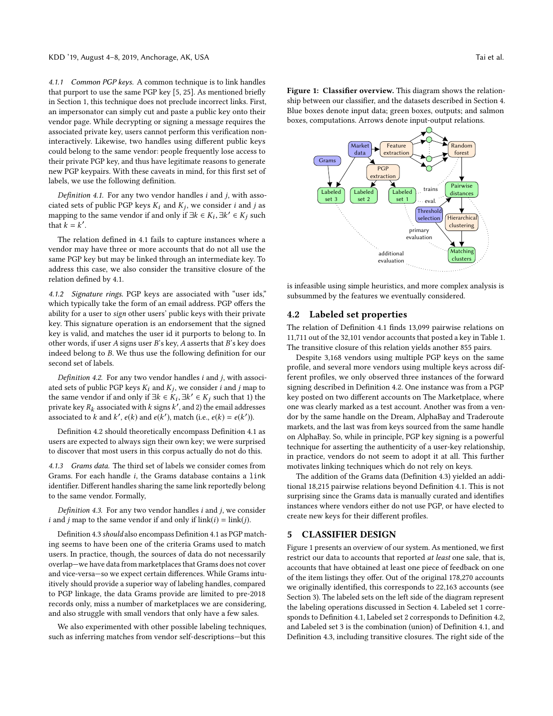4.1.1 Common PGP keys. A common technique is to link handles that purport to use the same PGP key [\[5,](#page-8-1) [25\]](#page-8-7). As mentioned briefly in Section [1,](#page-0-1) this technique does not preclude incorrect links. First, an impersonator can simply cut and paste a public key onto their vendor page. While decrypting or signing a message requires the associated private key, users cannot perform this verification noninteractively. Likewise, two handles using different public keys could belong to the same vendor: people frequently lose access to their private PGP key, and thus have legitimate reasons to generate new PGP keypairs. With these caveats in mind, for this first set of labels, we use the following definition.

<span id="page-3-1"></span>Definition 4.1. For any two vendor handles  $i$  and  $j$ , with associated sets of public PGP keys  $K_i$  and  $K_j$ , we consider i and j as<br>manning to the same vendor if and only if  $\exists k \in K$ .  $\exists k' \in K$ , such mapping to the same vendor if and only if  $\exists k \in K_i, \exists k' \in K_j$  such that  $k = k'$ that  $k = k'$ .

The relation defined in [4.1](#page-3-1) fails to capture instances where a vendor may have three or more accounts that do not all use the same PGP key but may be linked through an intermediate key. To address this case, we also consider the transitive closure of the relation defined by [4.1.](#page-3-1)

4.1.2 Signature rings. PGP keys are associated with "user ids," which typically take the form of an email address. PGP offers the ability for a user to sign other users' public keys with their private key. This signature operation is an endorsement that the signed key is valid, and matches the user id it purports to belong to. In other words, if user  $A$  signs user  $B$ 's key,  $A$  asserts that  $B$ 's key does indeed belong to B. We thus use the following definition for our second set of labels.

<span id="page-3-2"></span>Definition 4.2. For any two vendor handles i and j, with associated sets of public PGP keys  $K_i$  and  $K_j$ , we consider *i* and *j* map to the same vendor if and only if  $\exists k \in K$ .  $\exists k' \in K$ , such that 1) the the same vendor if and only if  $\exists k \in K_i, \exists k' \in K_j$  such that 1) the private key  $R_i$  associated with k signs  $k'$  and 2) the email addresses private key  $R_k$  associated with k signs k', and 2) the email addresses<br>associated to k and k' e(k) and e(k') match (i.e., e(k) = e(k')) associated to k and k',  $e(k)$  and  $e(k')$ , match (i.e.,  $e(k) = e(k')$ ).

Definition [4.2](#page-3-2) should theoretically encompass Definition [4.1](#page-3-1) as users are expected to always sign their own key; we were surprised to discover that most users in this corpus actually do not do this.

4.1.3 Grams data. The third set of labels we consider comes from Grams. For each handle i, the Grams database contains a link identifier. Different handles sharing the same link reportedly belong to the same vendor. Formally,

<span id="page-3-3"></span>Definition 4.3. For any two vendor handles  $i$  and  $j$ , we consider i and j map to the same vendor if and only if  $link(i) = link(j)$ .

Definition [4.3](#page-3-3) should also encompass Definition [4.1](#page-3-1) as PGP matching seems to have been one of the criteria Grams used to match users. In practice, though, the sources of data do not necessarily overlap—we have data from marketplaces that Grams does not cover and vice-versa—so we expect certain differences. While Grams intuitively should provide a superior way of labeling handles, compared to PGP linkage, the data Grams provide are limited to pre-2018 records only, miss a number of marketplaces we are considering, and also struggle with small vendors that only have a few sales.

We also experimented with other possible labeling techniques, such as inferring matches from vendor self-descriptions—but this

<span id="page-3-4"></span>Figure 1: Classifier overview. This diagram shows the relationship between our classifier, and the datasets described in Section [4.](#page-2-2) Blue boxes denote input data; green boxes, outputs; and salmon boxes, computations. Arrows denote input-output relations.



is infeasible using simple heuristics, and more complex analysis is subsummed by the features we eventually considered.

## 4.2 Labeled set properties

The relation of Definition [4.1](#page-3-1) finds 13,099 pairwise relations on 11,711 out of the 32,101 vendor accounts that posted a key in Table [1.](#page-2-0) The transitive closure of this relation yields another 855 pairs.

Despite 3,168 vendors using multiple PGP keys on the same profile, and several more vendors using multiple keys across different profiles, we only observed three instances of the forward signing described in Definition [4.2.](#page-3-2) One instance was from a PGP key posted on two different accounts on The Marketplace, where one was clearly marked as a test account. Another was from a vendor by the same handle on the Dream, AlphaBay and Traderoute markets, and the last was from keys sourced from the same handle on AlphaBay. So, while in principle, PGP key signing is a powerful technique for asserting the authenticity of a user-key relationship, in practice, vendors do not seem to adopt it at all. This further motivates linking techniques which do not rely on keys.

The addition of the Grams data (Definition [4.3\)](#page-3-3) yielded an additional 18,215 pairwise relations beyond Definition [4.1.](#page-3-1) This is not surprising since the Grams data is manually curated and identifies instances where vendors either do not use PGP, or have elected to create new keys for their different profiles.

## <span id="page-3-0"></span>5 CLASSIFIER DESIGN

Figure [1](#page-3-4) presents an overview of our system. As mentioned, we first restrict our data to accounts that reported at least one sale, that is, accounts that have obtained at least one piece of feedback on one of the item listings they offer. Out of the original 178,270 accounts we originally identified, this corresponds to 22,163 accounts (see Section [3\)](#page-1-0). The labeled sets on the left side of the diagram represent the labeling operations discussed in Section [4.](#page-2-2) Labeled set 1 corresponds to Definition [4.1,](#page-3-1) Labeled set 2 corresponds to Definition [4.2,](#page-3-2) and Labeled set 3 is the combination (union) of Definition [4.1,](#page-3-1) and Definition [4.3,](#page-3-3) including transitive closures. The right side of the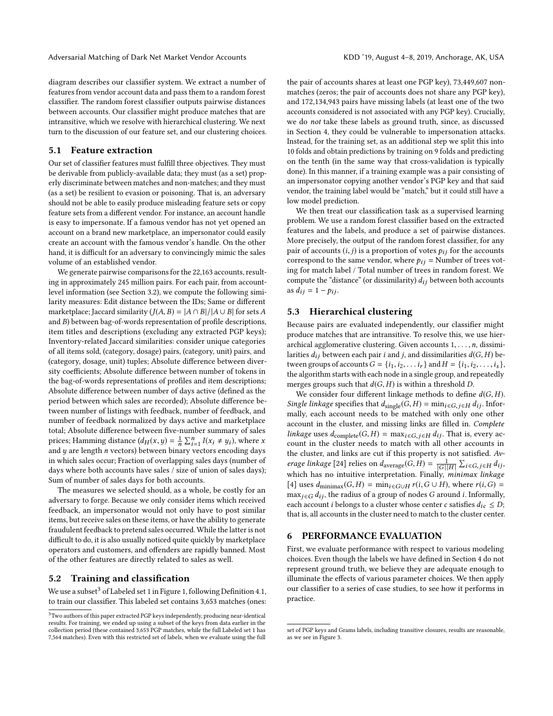diagram describes our classifier system. We extract a number of features from vendor account data and pass them to a random forest classifier. The random forest classifier outputs pairwise distances between accounts. Our classifier might produce matches that are intransitive, which we resolve with hierarchical clustering. We next turn to the discussion of our feature set, and our clustering choices.

## 5.1 Feature extraction

Our set of classifier features must fulfill three objectives. They must be derivable from publicly-available data; they must (as a set) properly discriminate between matches and non-matches; and they must (as a set) be resilient to evasion or poisoning. That is, an adversary should not be able to easily produce misleading feature sets or copy feature sets from a different vendor. For instance, an account handle is easy to impersonate. If a famous vendor has not yet opened an account on a brand new marketplace, an impersonator could easily create an account with the famous vendor's handle. On the other hand, it is difficult for an adversary to convincingly mimic the sales volume of an established vendor.

We generate pairwise comparisons for the 22,163 accounts, resulting in approximately 245 million pairs. For each pair, from accountlevel information (see Section [3.2\)](#page-2-3), we compute the following similarity measures: Edit distance between the IDs; Same or different marketplace; Jaccard similarity ( $J(A, B) = |A \cap B| / |A \cup B|$  for sets A and B) between bag-of-words representation of profile descriptions, item titles and descriptions (excluding any extracted PGP keys); Inventory-related Jaccard similarities: consider unique categories of all items sold, (category, dosage) pairs, (category, unit) pairs, and (category, dosage, unit) tuples; Absolute difference between diversity coefficients; Absolute difference between number of tokens in the bag-of-words representations of profiles and item descriptions; Absolute difference between number of days active (defined as the period between which sales are recorded); Absolute difference between number of listings with feedback, number of feedback, and number of feedback normalized by days active and marketplace total; Absolute difference between five-number summary of sales prices; Hamming distance  $(d_H(x, y) = \frac{1}{n} \sum_{i=1}^{n} I(x_i \neq y_i)$ , where x<br>and y are length n vectors) between binary vectors encoding days and  $y$  are length  $n$  vectors) between binary vectors encoding days in which sales occur; Fraction of overlapping sales days (number of days where both accounts have sales / size of union of sales days); Sum of number of sales days for both accounts.

The measures we selected should, as a whole, be costly for an adversary to forge. Because we only consider items which received feedback, an impersonator would not only have to post similar items, but receive sales on these items, or have the ability to generate fraudulent feedback to pretend sales occurred. While the latter is not difficult to do, it is also usually noticed quite quickly by marketplace operators and customers, and offenders are rapidly banned. Most of the other features are directly related to sales as well.

## 5.2 Training and classification

We use a subset<sup>[3](#page-4-1)</sup> of Labeled set 1 in Figure [1,](#page-3-4) following Definition [4.1,](#page-3-1) to train our classifier. This labeled set contains 3,653 matches (ones: the pair of accounts shares at least one PGP key), 73,449,607 nonmatches (zeros; the pair of accounts does not share any PGP key), and 172,134,943 pairs have missing labels (at least one of the two accounts considered is not associated with any PGP key). Crucially, we do not take these labels as ground truth, since, as discussed in Section [4,](#page-2-2) they could be vulnerable to impersonation attacks. Instead, for the training set, as an additional step we split this into 10 folds and obtain predictions by training on 9 folds and predicting on the tenth (in the same way that cross-validation is typically done). In this manner, if a training example was a pair consisting of an impersonator copying another vendor's PGP key and that said vendor, the training label would be "match," but it could still have a low model prediction.

We then treat our classification task as a supervised learning problem. We use a random forest classifier based on the extracted features and the labels, and produce a set of pairwise distances. More precisely, the output of the random forest classifier, for any pair of accounts  $(i, j)$  is a proportion of votes  $p_{ij}$  for the accounts correspond to the same vendor, where  $p_{ij}$  = Number of trees voting for match label / Total number of trees in random forest. We compute the "distance" (or dissimilarity)  $d_{ij}$  between both accounts as  $d_{ij} = 1 - p_{ij}$ .

## 5.3 Hierarchical clustering

Because pairs are evaluated independently, our classifier might produce matches that are intransitive. To resolve this, we use hierarchical agglomerative clustering. Given accounts  $1, \ldots, n$ , dissimilarities  $d_{ij}$  between each pair i and j, and dissimilarities  $d(G, H)$  between groups of accounts  $G = \{i_1, i_2, \ldots, i_r\}$  and  $H = \{i_1, i_2, \ldots, i_s\}$ , the algorithm starts with each node in a single group, and repeatedly merges groups such that  $d(G, H)$  is within a threshold D.

We consider four different linkage methods to define  $d(G, H)$ . Single linkage specifies that  $d_{\text{single}}(G, H) = \min_{i \in G, j \in H} d_{ij}$ . Informally, each account needs to be matched with only one other account in the cluster, and missing links are filled in. Complete linkage uses  $d_{\text{complete}}(G, H) = \max_{i \in G, j \in H} d_{ij}$ . That is, every account in the cluster needs to match with all other accounts in the cluster, and links are cut if this property is not satisfied. Av-erage linkage [\[24\]](#page-8-32) relies on  $d_{\text{average}}(G, H) = \frac{1}{|G||H|} \sum_{i \in G, j \in H} d_{ij}$ ,<br>which has no intuitive intermetation. Finally, minimum linkage which has no intuitive interpretation. Finally, minimax linkage [\[4\]](#page-8-33) uses  $d_{\text{minimax}}(G, H) = \min_{i \in G \cup H} r(i, G \cup H)$ , where  $r(i, G) =$ max $_{i \in G} d_{ij}$ , the radius of a group of nodes G around i. Informally, each account *i* belongs to a cluster whose center *c* satisfies  $d_{ic} \le D$ ; that is, all accounts in the cluster need to match to the cluster center.

# <span id="page-4-0"></span>6 PERFORMANCE EVALUATION

First, we evaluate performance with respect to various modeling choices. Even though the labels we have defined in Section [4](#page-2-2) do not represent ground truth, we believe they are adequate enough to illuminate the effects of various parameter choices. We then apply our classifier to a series of case studies, to see how it performs in practice.

<span id="page-4-1"></span><sup>3</sup>Two authors of this paper extracted PGP keys independently, producing near-identical results. For training, we ended up using a subset of the keys from data earlier in the collection period (these contained 3,653 PGP matches, while the full Labeled set 1 has 7,564 matches). Even with this restricted set of labels, when we evaluate using the full

set of PGP keys and Grams labels, including transitive closures, results are reasonable, as we see in Figure [3.](#page-6-0)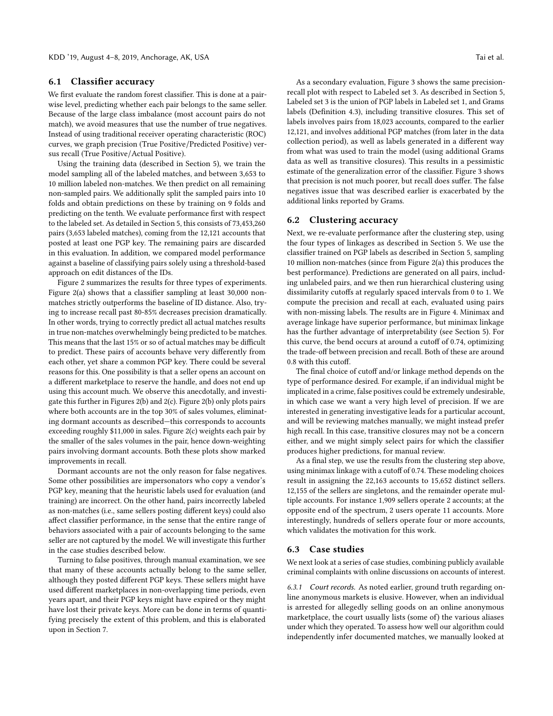## <span id="page-5-0"></span>6.1 Classifier accuracy

We first evaluate the random forest classifier. This is done at a pairwise level, predicting whether each pair belongs to the same seller. Because of the large class imbalance (most account pairs do not match), we avoid measures that use the number of true negatives. Instead of using traditional receiver operating characteristic (ROC) curves, we graph precision (True Positive/Predicted Positive) versus recall (True Positive/Actual Positive).

Using the training data (described in Section [5\)](#page-3-0), we train the model sampling all of the labeled matches, and between 3,653 to 10 million labeled non-matches. We then predict on all remaining non-sampled pairs. We additionally split the sampled pairs into 10 folds and obtain predictions on these by training on 9 folds and predicting on the tenth. We evaluate performance first with respect to the labeled set. As detailed in Section [5,](#page-3-0) this consists of 73,453,260 pairs (3,653 labeled matches), coming from the 12,121 accounts that posted at least one PGP key. The remaining pairs are discarded in this evaluation. In addition, we compared model performance against a baseline of classifying pairs solely using a threshold-based approach on edit distances of the IDs.

Figure [2](#page-6-1) summarizes the results for three types of experiments. Figure [2\(a\)](#page-6-1) shows that a classifier sampling at least 30,000 nonmatches strictly outperforms the baseline of ID distance. Also, trying to increase recall past 80-85% decreases precision dramatically. In other words, trying to correctly predict all actual matches results in true non-matches overwhelmingly being predicted to be matches. This means that the last 15% or so of actual matches may be difficult to predict. These pairs of accounts behave very differently from each other, yet share a common PGP key. There could be several reasons for this. One possibility is that a seller opens an account on a different marketplace to reserve the handle, and does not end up using this account much. We observe this anecdotally, and investigate this further in Figures [2\(b\)](#page-6-1) and [2\(c\).](#page-6-1) Figure [2\(b\)](#page-6-1) only plots pairs where both accounts are in the top 30% of sales volumes, eliminating dormant accounts as described—this corresponds to accounts exceeding roughly \$11,000 in sales. Figure [2\(c\)](#page-6-1) weights each pair by the smaller of the sales volumes in the pair, hence down-weighting pairs involving dormant accounts. Both these plots show marked improvements in recall.

Dormant accounts are not the only reason for false negatives. Some other possibilities are impersonators who copy a vendor's PGP key, meaning that the heuristic labels used for evaluation (and training) are incorrect. On the other hand, pairs incorrectly labeled as non-matches (i.e., same sellers posting different keys) could also affect classifier performance, in the sense that the entire range of behaviors associated with a pair of accounts belonging to the same seller are not captured by the model. We will investigate this further in the case studies described below.

Turning to false positives, through manual examination, we see that many of these accounts actually belong to the same seller, although they posted different PGP keys. These sellers might have used different marketplaces in non-overlapping time periods, even years apart, and their PGP keys might have expired or they might have lost their private keys. More can be done in terms of quantifying precisely the extent of this problem, and this is elaborated upon in Section [7.](#page-7-0)

As a secondary evaluation, Figure [3](#page-6-0) shows the same precisionrecall plot with respect to Labeled set 3. As described in Section [5,](#page-3-0) Labeled set 3 is the union of PGP labels in Labeled set 1, and Grams labels (Definition [4.3\)](#page-3-3), including transitive closures. This set of labels involves pairs from 18,023 accounts, compared to the earlier 12,121, and involves additional PGP matches (from later in the data collection period), as well as labels generated in a different way from what was used to train the model (using additional Grams data as well as transitive closures). This results in a pessimistic estimate of the generalization error of the classifier. Figure [3](#page-6-0) shows that precision is not much poorer, but recall does suffer. The false negatives issue that was described earlier is exacerbated by the additional links reported by Grams.

## 6.2 Clustering accuracy

Next, we re-evaluate performance after the clustering step, using the four types of linkages as described in Section [5.](#page-3-0) We use the classifier trained on PGP labels as described in Section [5,](#page-3-0) sampling 10 million non-matches (since from Figure [2\(a\)](#page-6-1) this produces the best performance). Predictions are generated on all pairs, including unlabeled pairs, and we then run hierarchical clustering using dissimilarity cutoffs at regularly spaced intervals from 0 to 1. We compute the precision and recall at each, evaluated using pairs with non-missing labels. The results are in Figure [4.](#page-6-2) Minimax and average linkage have superior performance, but minimax linkage has the further advantage of interpretability (see Section [5\)](#page-3-0). For this curve, the bend occurs at around a cutoff of 0.74, optimizing the trade-off between precision and recall. Both of these are around 0.8 with this cutoff.

The final choice of cutoff and/or linkage method depends on the type of performance desired. For example, if an individual might be implicated in a crime, false positives could be extremely undesirable, in which case we want a very high level of precision. If we are interested in generating investigative leads for a particular account, and will be reviewing matches manually, we might instead prefer high recall. In this case, transitive closures may not be a concern either, and we might simply select pairs for which the classifier produces higher predictions, for manual review.

As a final step, we use the results from the clustering step above, using minimax linkage with a cutoff of 0.74. These modeling choices result in assigning the 22,163 accounts to 15,652 distinct sellers. 12,155 of the sellers are singletons, and the remainder operate multiple accounts. For instance 1,909 sellers operate 2 accounts; at the opposite end of the spectrum, 2 users operate 11 accounts. More interestingly, hundreds of sellers operate four or more accounts, which validates the motivation for this work.

## 6.3 Case studies

We next look at a series of case studies, combining publicly available criminal complaints with online discussions on accounts of interest.

6.3.1 Court records. As noted earlier, ground truth regarding online anonymous markets is elusive. However, when an individual is arrested for allegedly selling goods on an online anonymous marketplace, the court usually lists (some of) the various aliases under which they operated. To assess how well our algorithm could independently infer documented matches, we manually looked at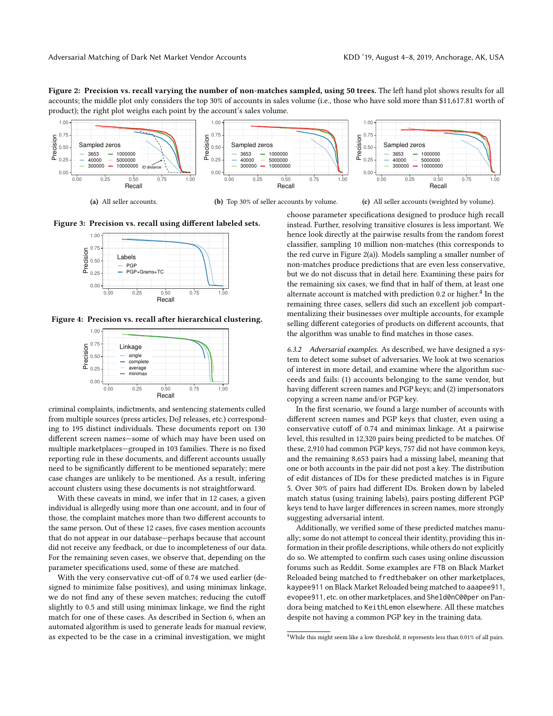<span id="page-6-1"></span>Figure 2: Precision vs. recall varying the number of non-matches sampled, using 50 trees. The left hand plot shows results for all accounts; the middle plot only considers the top 30% of accounts in sales volume (i.e., those who have sold more than \$11,617.81 worth of product); the right plot weighs each point by the account's sales volume.



(a) All seller accounts.

(b) Top 30% of seller accounts by volume.

(c) All seller accounts (weighted by volume).

<span id="page-6-0"></span>



<span id="page-6-2"></span>Figure 4: Precision vs. recall after hierarchical clustering.



criminal complaints, indictments, and sentencing statements culled from multiple sources (press articles, DoJ releases, etc.) corresponding to 195 distinct individuals. These documents report on 130 different screen names—some of which may have been used on multiple marketplaces—grouped in 103 families. There is no fixed reporting rule in these documents, and different accounts usually need to be significantly different to be mentioned separately; mere case changes are unlikely to be mentioned. As a result, infering account clusters using these documents is not straightforward.

With these caveats in mind, we infer that in 12 cases, a given individual is allegedly using more than one account, and in four of those, the complaint matches more than two different accounts to the same person. Out of these 12 cases, five cases mention accounts that do not appear in our database—perhaps because that account did not receive any feedback, or due to incompleteness of our data. For the remaining seven cases, we observe that, depending on the parameter specifications used, some of these are matched.

With the very conservative cut-off of 0.74 we used earlier (designed to minimize false positives), and using minimax linkage, we do not find any of these seven matches; reducing the cutoff slightly to 0.5 and still using minimax linkage, we find the right match for one of these cases. As described in Section [6,](#page-4-0) when an automated algorithm is used to generate leads for manual review, as expected to be the case in a criminal investigation, we might

choose parameter specifications designed to produce high recall instead. Further, resolving transitive closures is less important. We hence look directly at the pairwise results from the random forest classifier, sampling 10 million non-matches (this corresponds to the red curve in Figure [2\(a\)\)](#page-6-1). Models sampling a smaller number of non-matches produce predictions that are even less conservative, but we do not discuss that in detail here. Examining these pairs for the remaining six cases, we find that in half of them, at least one alternate account is matched with prediction 0.2 or higher.<sup>[4](#page-6-3)</sup> In the remaining three cases, sellers did such an excellent job compartmentalizing their businesses over multiple accounts, for example selling different categories of products on different accounts, that the algorithm was unable to find matches in those cases.

6.3.2 Adversarial examples. As described, we have designed a system to detect some subset of adversaries. We look at two scenarios of interest in more detail, and examine where the algorithm succeeds and fails: (1) accounts belonging to the same vendor, but having different screen names and PGP keys; and (2) impersonators copying a screen name and/or PGP key.

In the first scenario, we found a large number of accounts with different screen names and PGP keys that cluster, even using a conservative cutoff of 0.74 and minimax linkage. At a pairwise level, this resulted in 12,320 pairs being predicted to be matches. Of these, 2,910 had common PGP keys, 757 did not have common keys, and the remaining 8,653 pairs had a missing label, meaning that one or both accounts in the pair did not post a key. The distribution of edit distances of IDs for these predicted matches is in Figure [5.](#page-7-1) Over 30% of pairs had different IDs. Broken down by labeled match status (using training labels), pairs posting different PGP keys tend to have larger differences in screen names, more strongly suggesting adversarial intent.

Additionally, we verified some of these predicted matches manually; some do not attempt to conceal their identity, providing this information in their profile descriptions, while others do not explicitly do so. We attempted to confirm such cases using online discussion forums such as Reddit. Some examples are FTB on Black Market Reloaded being matched to fredthebaker on other marketplaces, kaypee911 on Black Market Reloaded being matched to aaapee911, evopee911, etc. on other marketplaces, and Sheld0nC00per on Pandora being matched to KeithLemon elsewhere. All these matches despite not having a common PGP key in the training data.

<span id="page-6-3"></span><sup>&</sup>lt;sup>4</sup>While this might seem like a low threshold, it represents less than 0.01% of all pairs.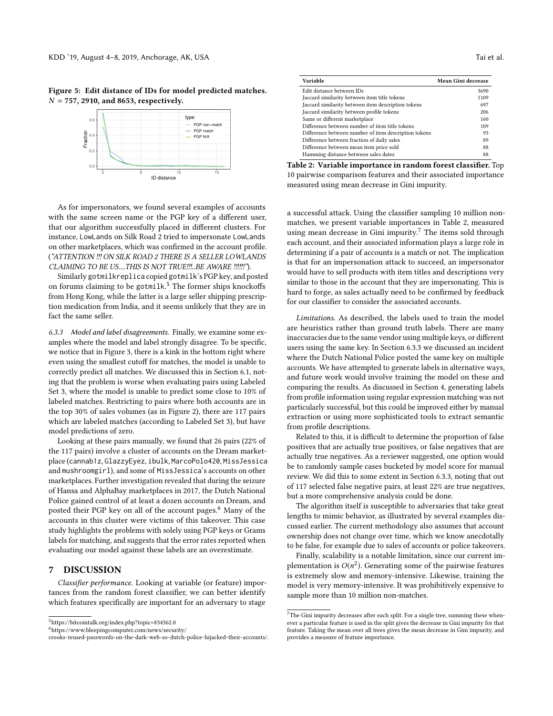<span id="page-7-1"></span>Figure 5: Edit distance of IDs for model predicted matches.  $N = 757$ , 2910, and 8653, respectively.



As for impersonators, we found several examples of accounts with the same screen name or the PGP key of a different user, that our algorithm successfully placed in different clusters. For instance, LowLands on Silk Road 2 tried to impersonate LowLands on other marketplaces, which was confirmed in the account profile. ("ATTENTION !!! ON SILK ROAD 2 THERE IS A SELLER LOWLANDS CLAIMING TO BE US....THIS IS NOT TRUE!!!..BE AWARE !!!!!!").

Similarly gotmilkreplica copied gotmilk's PGP key, and posted on forums claiming to be gotmilk.<sup>[5](#page-7-2)</sup> The former ships knockoffs from Hong Kong, while the latter is a large seller shipping prescription medication from India, and it seems unlikely that they are in fact the same seller.

<span id="page-7-6"></span>6.3.3 Model and label disagreements. Finally, we examine some examples where the model and label strongly disagree. To be specific, we notice that in Figure [3,](#page-6-0) there is a kink in the bottom right where even using the smallest cutoff for matches, the model is unable to correctly predict all matches. We discussed this in Section [6.1,](#page-5-0) noting that the problem is worse when evaluating pairs using Labeled Set 3, where the model is unable to predict some close to 10% of labeled matches. Restricting to pairs where both accounts are in the top 30% of sales volumes (as in Figure [2\)](#page-6-1), there are 117 pairs which are labeled matches (according to Labeled Set 3), but have model predictions of zero.

Looking at these pairs manually, we found that 26 pairs (22% of the 117 pairs) involve a cluster of accounts on the Dream marketplace (cannab1z, GlazzyEyez, ibulk, MarcoPolo420, MissJessica and mushroomgirl), and some of MissJessica's accounts on other marketplaces. Further investigation revealed that during the seizure of Hansa and AlphaBay marketplaces in 2017, the Dutch National Police gained control of at least a dozen accounts on Dream, and posted their PGP key on all of the account pages.<sup>[6](#page-7-3)</sup> Many of the accounts in this cluster were victims of this takeover. This case study highlights the problems with solely using PGP keys or Grams labels for matching, and suggests that the error rates reported when evaluating our model against these labels are an overestimate.

## <span id="page-7-0"></span>7 DISCUSSION

Classifier performance. Looking at variable (or feature) importances from the random forest classifier, we can better identify which features specifically are important for an adversary to stage

<span id="page-7-4"></span>

| Variable                                             | Mean Gini decrease |
|------------------------------------------------------|--------------------|
| Edit distance between IDs                            | 3690               |
| Jaccard similarity between item title tokens         | 1109               |
| Jaccard similarity between item description tokens   | 697                |
| Jaccard similarity between profile tokens            | 206                |
| Same or different marketplace                        | 160                |
| Difference between number of item title tokens       | 109                |
| Difference between number of item description tokens | 93                 |
| Difference between fraction of daily sales           | 89                 |
| Difference between mean item price sold              | 88                 |
| Hamming distance between sales dates                 | 88                 |

Table 2: Variable importance in random forest classifier. Top 10 pairwise comparison features and their associated importance measured using mean decrease in Gini impurity.

a successful attack. Using the classifier sampling 10 million nonmatches, we present variable importances in Table [2,](#page-7-4) measured using mean decrease in Gini impurity.<sup>[7](#page-7-5)</sup> The items sold through each account, and their associated information plays a large role in determining if a pair of accounts is a match or not. The implication is that for an impersonation attack to succeed, an impersonator would have to sell products with item titles and descriptions very similar to those in the account that they are impersonating. This is hard to forge, as sales actually need to be confirmed by feedback for our classifier to consider the associated accounts.

Limitations. As described, the labels used to train the model are heuristics rather than ground truth labels. There are many inaccuracies due to the same vendor using multiple keys, or different users using the same key. In Section [6.3.3](#page-7-6) we discussed an incident where the Dutch National Police posted the same key on multiple accounts. We have attempted to generate labels in alternative ways, and future work would involve training the model on these and comparing the results. As discussed in Section [4,](#page-2-2) generating labels from profile information using regular expression matching was not particularly successful, but this could be improved either by manual extraction or using more sophisticated tools to extract semantic from profile descriptions.

Related to this, it is difficult to determine the proportion of false positives that are actually true positives, or false negatives that are actually true negatives. As a reviewer suggested, one option would be to randomly sample cases bucketed by model score for manual review. We did this to some extent in Section [6.3.3,](#page-7-6) noting that out of 117 selected false negative pairs, at least 22% are true negatives, but a more comprehensive analysis could be done.

The algorithm itself is susceptible to adversaries that take great lengths to mimic behavior, as illustrated by several examples discussed earlier. The current methodology also assumes that account ownership does not change over time, which we know anecdotally to be false, for example due to sales of accounts or police takeovers.

Finally, scalability is a notable limitation, since our current implementation is  $O(n^2)$ . Generating some of the pairwise features<br>is extremely slow and memory-intensive. Likewise, training the is extremely slow and memory-intensive. Likewise, training the model is very memory-intensive. It was prohibitively expensive to sample more than 10 million non-matches.

<span id="page-7-2"></span> $^{5}$ https://bitcointalk.org/index.php?topic=834362.0

<span id="page-7-3"></span><sup>6</sup>[https://www.bleepingcomputer.com/news/security/](https://www.bleepingcomputer.com/news/security/crooks-reused-passwords-on-the-dark-web-so-dutch-police-hijacked-their-accounts/)

[crooks-reused-passwords-on-the-dark-web-so-dutch-police-hijacked-their-accounts/.](https://www.bleepingcomputer.com/news/security/crooks-reused-passwords-on-the-dark-web-so-dutch-police-hijacked-their-accounts/)

<span id="page-7-5"></span> $^7\mathrm{The}$  Gini impurity decreases after each split. For a single tree, summing these whenever a particular feature is used in the split gives the decrease in Gini impurity for that feature. Taking the mean over all trees gives the mean decrease in Gini impurity, and provides a measure of feature importance.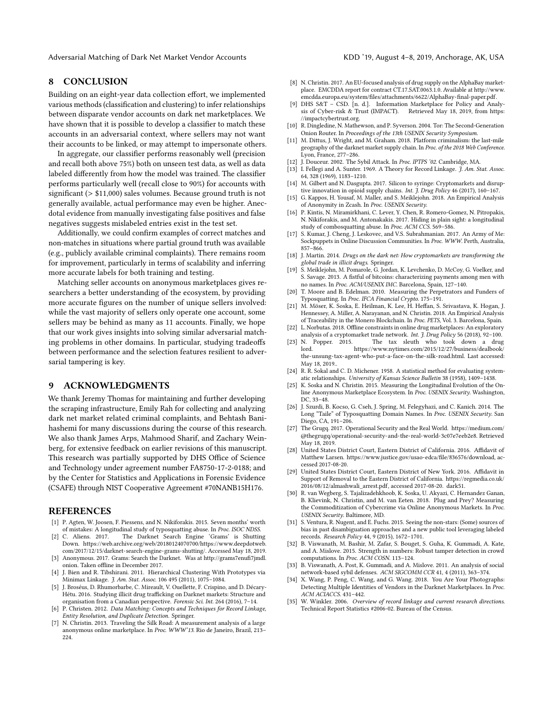Adversarial Matching of Dark Net Market Vendor Accounts KND (KDD '19, August 4–8, 2019, Anchorage, AK, USA

## 8 CONCLUSION

Building on an eight-year data collection effort, we implemented various methods (classification and clustering) to infer relationships between disparate vendor accounts on dark net marketplaces. We have shown that it is possible to develop a classifier to match these accounts in an adversarial context, where sellers may not want their accounts to be linked, or may attempt to impersonate others.

In aggregate, our classifier performs reasonably well (precision and recall both above 75%) both on unseen test data, as well as data labeled differently from how the model was trained. The classifier performs particularly well (recall close to 90%) for accounts with significant (> \$11,000) sales volumes. Because ground truth is not generally available, actual performance may even be higher. Anecdotal evidence from manually investigating false positives and false negatives suggests mislabeled entries exist in the test set.

Additionally, we could confirm examples of correct matches and non-matches in situations where partial ground truth was available (e.g., publicly available criminal complaints). There remains room for improvement, particularly in terms of scalability and inferring more accurate labels for both training and testing.

Matching seller accounts on anonymous marketplaces gives researchers a better understanding of the ecosystem, by providing more accurate figures on the number of unique sellers involved: while the vast majority of sellers only operate one account, some sellers may be behind as many as 11 accounts. Finally, we hope that our work gives insights into solving similar adversarial matching problems in other domains. In particular, studying tradeoffs between performance and the selection features resilient to adversarial tampering is key.

# 9 ACKNOWLEDGMENTS

We thank Jeremy Thomas for maintaining and further developing the scraping infrastructure, Emily Rah for collecting and analyzing dark net market related criminal complaints, and Behtash Banihashemi for many discussions during the course of this research. We also thank James Arps, Mahmood Sharif, and Zachary Weinberg, for extensive feedback on earlier revisions of this manuscript. This research was partially supported by DHS Office of Science and Technology under agreement number FA8750-17-2-0188; and by the Center for Statistics and Applications in Forensic Evidence (CSAFE) through NIST Cooperative Agreement #70NANB15H176.

## REFERENCES

- <span id="page-8-25"></span>[1] P. Agten, W. Joosen, F. Piessens, and N. Nikiforakis. 2015. Seven months' worth of mistakes: A longitudinal study of typosquatting abuse. In *Proc. ISOC NDSS*. [2] C. Aliens. 2017. The Darknet Search Engine 'Grams' is Shuttin
- <span id="page-8-20"></span>The Darknet Search Engine 'Grams' is Shutting Down. [https://web.archive.org/web/20180124070700/https://www.deepdotweb.](https://web.archive.org/web/20180124070700/https://www.deepdotweb.com/2017/12/15/darknet-search-engine-grams-shutting/) [com/2017/12/15/darknet-search-engine-grams-shutting/.](https://web.archive.org/web/20180124070700/https://www.deepdotweb.com/2017/12/15/darknet-search-engine-grams-shutting/) Accessed May 18, 2019.
- <span id="page-8-14"></span>[3] Anonymous. 2017. Grams: Search the Darknet. Was at [http://grams7enufi7jmdl.](http://grams7enufi7jmdl.onion) [onion.](http://grams7enufi7jmdl.onion) Taken offline in December 2017.
- <span id="page-8-33"></span>[4] J. Bien and R. Tibshirani. 2011. Hierarchical Clustering With Prototypes via Minimax Linkage. J. Am. Stat. Assoc. 106 495 (2011), 1075–1084.
- <span id="page-8-1"></span>[5] J. Broséus, D. Rhumorbarbe, C. Mireault, V. Ouellette, F. Crispino, and D. Décary-Hétu. 2016. Studying illicit drug trafficking on Darknet markets: Structure and organisation from a Canadian perspective. Forensic Sci. Int. 264 (2016), 7–14.
- <span id="page-8-0"></span>[6] P. Christen. 2012. Data Matching: Concepts and Techniques for Record Linkage, Entity Resolution, and Duplicate Detection. Springer.
- <span id="page-8-2"></span>[7] N. Christin. 2013. Traveling the Silk Road: A measurement analysis of a large anonymous online marketplace. In Proc. WWW'13. Rio de Janeiro, Brazil, 213– 224.
- <span id="page-8-31"></span>[8] N. Christin. 2017. An EU-focused analysis of drug supply on the AlphaBay marketplace. EMCDDA report for contract CT.17.SAT.0063.1.0. Available at [http://www.](http://www.emcdda.europa.eu/system/files/attachments/6622/AlphaBay-final-paper.pdf) [emcdda.europa.eu/system/files/attachments/6622/AlphaBay-final-paper.pdf.](http://www.emcdda.europa.eu/system/files/attachments/6622/AlphaBay-final-paper.pdf)
- <span id="page-8-34"></span>DHS S&T – CSD. [n. d.]. Information Marketplace for Policy and Analysis of Cyber-risk & Trust (IMPACT). Retrieved May 18, 2019, from [https:](https://impactcybertrust.org) [//impactcybertrust.org.](https://impactcybertrust.org)
- <span id="page-8-10"></span>[10] R. Dingledine, N. Mathewson, and P. Syverson. 2004. Tor: The Second-Generation Onion Router. In Proceedings of the 13th USENIX Security Symposium.
- <span id="page-8-3"></span>[11] M. Dittus, J. Wright, and M. Graham. 2018. Platform criminalism: the last-mile geography of the darknet market supply chain. In Proc. of the 2018 Web Conference. Lyon, France, 277–286.
- <span id="page-8-16"></span>J. Douceur. 2002. The Sybil Attack. In Proc. IPTPS '02. Cambridge, MA.
- <span id="page-8-21"></span>[13] I. Fellegi and A. Sunter. 1969. A Theory for Record Linkage. *J. Am. Stat. Assoc.* 64, 328 (1969), 1183–1210.
- <span id="page-8-4"></span>[14] M. Gilbert and N. Dasgupta. 2017. Silicon to syringe: Cryptomarkets and disruptive innovation in opioid supply chains. Int. J. Drug Policy 46 (2017), 160-167.
- <span id="page-8-29"></span>[15] G. Kappos, H. Yousaf, M. Maller, and S. Meiklejohn. 2018. An Empirical Analysis of Anonymity in Zcash. In Proc. USENIX Security.
- <span id="page-8-26"></span>[16] P. Kintis, N. Miramirkhani, C. Lever, Y. Chen, R. Romero-Gomez, N. Pitropakis, N. Nikiforakis, and M. Antonakakis. 2017. Hiding in plain sight: a longitudinal study of combosquatting abuse. In Proc. ACM CCS. 569-586.
- <span id="page-8-19"></span>[17] S. Kumar, J. Cheng, J. Leskovec, and V.S. Subrahmanian. 2017. An Army of Me: Sockpuppets in Online Discussion Communities. In Proc. WWW. Perth, Australia, 857–866.
- <span id="page-8-5"></span>[18] J. Martin. 2014. Drugs on the dark net: How cryptomarkets are transforming the
- <span id="page-8-30"></span>global trade in illicit drugs. Springer. [19] S. Meiklejohn, M. Pomarole, G. Jordan, K. Levchenko, D. McCoy, G. Voelker, and S. Savage. 2013. A fistful of bitcoins: characterizing payments among men with no names. In Proc. ACM/USENIX IMC. Barcelona, Spain, 127–140.
- <span id="page-8-27"></span>[20] T. Moore and B. Edelman. 2010. Measuring the Perpetrators and Funders of Typosquatting. In Proc. IFCA Financial Crypto. 175–191.
- <span id="page-8-11"></span>[21] M. Möser, K. Soska, E. Heilman, K. Lee, H. Heffan, S. Srivastava, K. Hogan, J. Hennessey, A. Miller, A. Narayanan, and N. Christin. 2018. An Empirical Analysis of Traceability in the Monero Blockchain. In Proc. PETS, Vol. 3. Barcelona, Spain.
- <span id="page-8-6"></span>[22] L. Norbutas. 2018. Offline constraints in online drug marketplaces: An exploratory
- <span id="page-8-18"></span>analysis of a cryptomarket trade network. Int. J. Drug Policy 56 (2018), 92–100. [23] N. Popper. 2015. The tax sleuth who took down a drug The tax sleuth who took down a drug lord. [https://www.nytimes.com/2015/12/27/business/dealbook/](https://www.nytimes.com/2015/12/27/business/dealbook/the-unsung-tax-agent-who-put-a-face-on-the-silk-road.html) [the-unsung-tax-agent-who-put-a-face-on-the-silk-road.html.](https://www.nytimes.com/2015/12/27/business/dealbook/the-unsung-tax-agent-who-put-a-face-on-the-silk-road.html) Last accessed: May 18, 2019..
- <span id="page-8-32"></span>[24] R. R. Sokal and C. D. Michener. 1958. A statistical method for evaluating systematic relationships. University of Kansas Science Bulletin 38 (1958), 1409–1438.
- <span id="page-8-7"></span>[25] K. Soska and N. Christin. 2015. Measuring the Longitudinal Evolution of the Online Anonymous Marketplace Ecosystem. In Proc. USENIX Security. Washington, DC, 33–48.
- <span id="page-8-28"></span>[26] J. Szurdi, B. Kocso, G. Cseh, J. Spring, M. Felegyhazi, and C. Kanich. 2014. The Long "Taile" of Typosquatting Domain Names. In Proc. USENIX Security. San Diego, CA, 191–206.
- <span id="page-8-12"></span>[27] The Grugq. 2017. Operational Security and the Real World. [https://medium.com/](https://medium.com/@thegrugq/operational-security-and-the-real-world-3c07e7eeb2e8) [@thegrugq/operational-security-and-the-real-world-3c07e7eeb2e8.](https://medium.com/@thegrugq/operational-security-and-the-real-world-3c07e7eeb2e8) Retrieved May 18, 2019.
- <span id="page-8-15"></span>[28] United States District Court, Eastern District of California. 2016. Affidavit of Matthew Larsen. [https://www.justice.gov/usao-edca/file/836576/download,](https://www.justice.gov/usao-edca/file/836576/download) accessed 2017-08-20.
- <span id="page-8-13"></span>[29] United States District Court, Eastern District of New York. 2016. Affidavit in Support of Removal to the Eastern District of California. [https://regmedia.co.uk/](https://regmedia.co.uk/2016/08/12/almashwali_arrest.pdf) [2016/08/12/almashwali\\_arrest.pdf,](https://regmedia.co.uk/2016/08/12/almashwali_arrest.pdf) accessed 2017-08-20. dark51.
- <span id="page-8-8"></span>[30] R. van Wegberg, S. Tajalizadehkhoob, K. Soska, U. Akyazi, C. Hernandez Ganan, B. Klievink, N. Christin, and M. van Eeten. 2018. Plug and Prey? Measuring the Commoditization of Cybercrime via Online Anonymous Markets. In Proc. USENIX Security. Baltimore, MD.
- <span id="page-8-23"></span>[31] S. Ventura, R. Nugent, and E. Fuchs. 2015. Seeing the non-stars: (Some) sources of bias in past disambiguation approaches and a new public tool leveraging labeled records. Research Policy 44, 9 (2015), 1672–1701.
- <span id="page-8-17"></span>[32] B. Viswanath, M. Bashir, M. Zafar, S. Bouget, S. Guha, K. Gummadi, A. Kate, and A. Mislove. 2015. Strength in numbers: Robust tamper detection in crowd computations. In Proc. ACM COSN. 113–124.
- <span id="page-8-24"></span>[33] B. Viswanath, A. Post, K. Gummadi, and A. Mislove. 2011. An analysis of social network-based sybil defenses. ACM SIGCOMM CCR 41, 4 (2011), 363–374.
- <span id="page-8-9"></span>[34] X. Wang, P. Peng, C. Wang, and G. Wang. 2018. You Are Your Photographs: Detecting Multiple Identities of Vendors in the Darknet Marketplaces. In Proc. ACM ACIACCS. 431–442.
- <span id="page-8-22"></span>[35] W. Winkler. 2006. Overview of record linkage and current research directions. Technical Report Statistics #2006-02. Bureau of the Census.